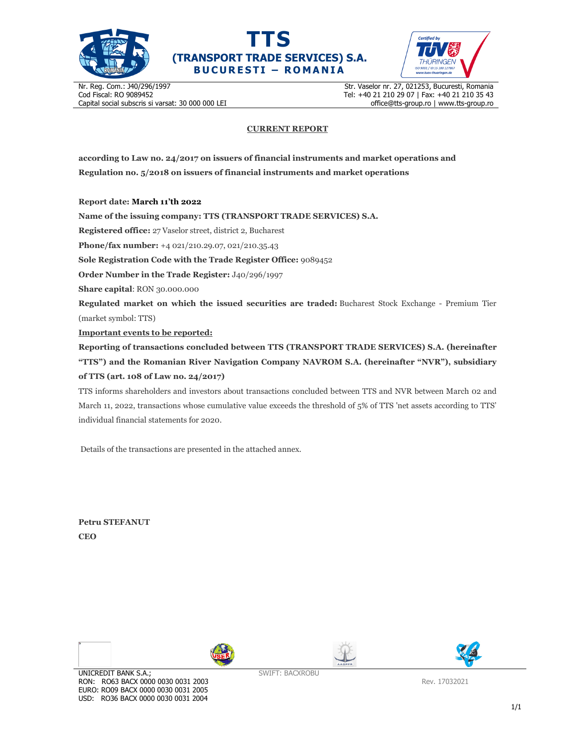





Nr. Reg. Com.: J40/296/1997 Cod Fiscal: RO 9089452 Capital social subscris si varsat: 30 000 000 LEI Str. Vaselor nr. 27, 021253, Bucuresti, Romania Tel: +40 21 210 29 07 | Fax: +40 21 210 35 43 office@tts-group.ro | www.tts-group.ro

## **CURRENT REPORT**

**according to Law no. 24/2017 on issuers of financial instruments and market operations and Regulation no. 5/2018 on issuers of financial instruments and market operations** 

**Report date: March 11'th 2022**

**Name of the issuing company: TTS (TRANSPORT TRADE SERVICES) S.A.**

**Registered office:** 27 Vaselor street, district 2, Bucharest

**Phone/fax number:** +4 021/210.29.07, 021/210.35.43

**Sole Registration Code with the Trade Register Office:** 9089452

**Order Number in the Trade Register:** J40/296/1997

**Share capital**: RON 30.000.000

**Regulated market on which the issued securities are traded:** Bucharest Stock Exchange - Premium Tier (market symbol: TTS)

**Important events to be reported:**

**Reporting of transactions concluded between TTS (TRANSPORT TRADE SERVICES) S.A. (hereinafter "TTS") and the Romanian River Navigation Company NAVROM S.A. (hereinafter "NVR"), subsidiary of TTS (art. 108 of Law no. 24/2017)** 

TTS informs shareholders and investors about transactions concluded between TTS and NVR between March 02 and March 11, 2022, transactions whose cumulative value exceeds the threshold of 5% of TTS 'net assets according to TTS' individual financial statements for 2020.

Details of the transactions are presented in the attached annex.

**Petru STEFANUT CEO** 

 $\overline{\phantom{a}}$ 







SWIFT: BACXROBU

Rev. 17032021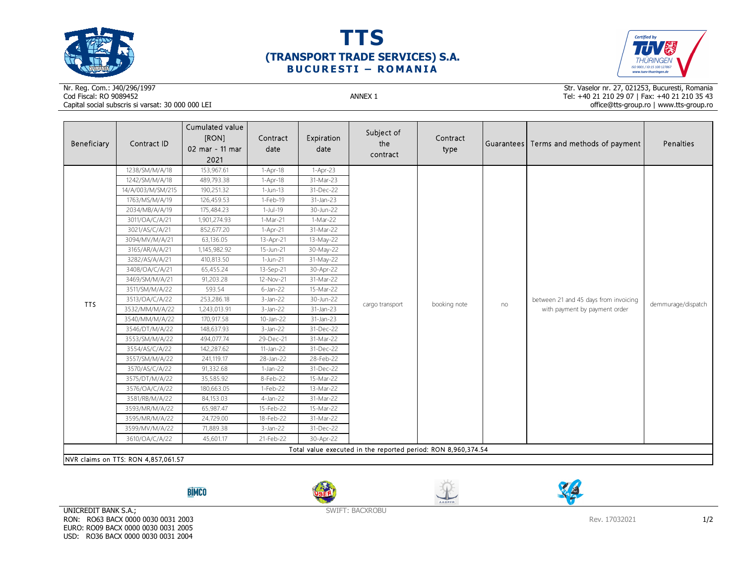





## Nr. Reg. Com.: J40/296/1997Cod Fiscal: RO 9089452 ANNEX 1 Capital social subscris si varsat: 30 000 000 LEI

Str. Vaselor nr. 27, 021253, Bucuresti, Romania Tel: +40 21 210 29 07 | Fax: +40 21 210 35 43 office@tts-group.ro | www.tts-group.ro

| Beneficiary                                                   | Contract ID       | Cumulated value<br>[RON]<br>02 mar - 11 mar | Contract<br>date | Expiration<br>date | Subject of<br>the<br>contract | Contract<br>type |    | Guarantees Terms and methods of payment                                | Penalties          |  |
|---------------------------------------------------------------|-------------------|---------------------------------------------|------------------|--------------------|-------------------------------|------------------|----|------------------------------------------------------------------------|--------------------|--|
|                                                               |                   | 2021                                        |                  |                    |                               |                  |    |                                                                        |                    |  |
|                                                               | 1238/SM/M/A/18    | 153,967.61                                  | $1-Apr-18$       | $1-Apr-23$         |                               |                  | no |                                                                        | demmurage/dispatch |  |
|                                                               | 1242/SM/M/A/18    | 489,793.38                                  | 1-Apr-18         | 31-Mar-23          |                               |                  |    |                                                                        |                    |  |
|                                                               | 14/A/003/M/SM/215 | 190,251.32                                  | $1-Jun-13$       | 31-Dec-22          |                               |                  |    |                                                                        |                    |  |
|                                                               | 1763/MS/M/A/19    | 126,459.53                                  | 1-Feb-19         | 31-Jan-23          |                               |                  |    |                                                                        |                    |  |
|                                                               | 2034/MB/A/A/19    | 175,484.23                                  | $1-Jul-19$       | 30-Jun-22          |                               |                  |    |                                                                        |                    |  |
|                                                               | 3011/OA/C/A/21    | 1,901,274.93                                | $1-Mar-21$       | $1-Mar-22$         |                               |                  |    |                                                                        |                    |  |
|                                                               | 3021/AS/C/A/21    | 852,677.20                                  | $1-Apr-21$       | 31-Mar-22          |                               |                  |    |                                                                        |                    |  |
|                                                               | 3094/MV/M/A/21    | 63,136.05                                   | 13-Apr-21        | 13-May-22          |                               |                  |    |                                                                        |                    |  |
|                                                               | 3165/AR/A/A/21    | 1,145,982.92                                | 15-Jun-21        | 30-May-22          |                               |                  |    |                                                                        |                    |  |
|                                                               | 3282/AS/A/A/21    | 410,813.50                                  | 1-Jun-21         | 31-May-22          |                               |                  |    |                                                                        |                    |  |
|                                                               | 3408/OA/C/A/21    | 65,455.24                                   | 13-Sep-21        | 30-Apr-22          |                               |                  |    |                                                                        |                    |  |
|                                                               | 3469/SM/M/A/21    | 91,203.28                                   | 12-Nov-21        | 31-Mar-22          | cargo transport               |                  |    | between 21 and 45 days from invoicing<br>with payment by payment order |                    |  |
|                                                               | 3511/SM/M/A/22    | 593.54                                      | $6$ -Jan-22      | 15-Mar-22          |                               |                  |    |                                                                        |                    |  |
| <b>TTS</b>                                                    | 3513/OA/C/A/22    | 253,286.18                                  | $3$ -Jan-22      | 30-Jun-22          |                               | booking note     |    |                                                                        |                    |  |
|                                                               | 3532/MM/M/A/22    | 1,243,013.91                                | $3$ -Jan-22      | 31-Jan-23          |                               |                  |    |                                                                        |                    |  |
|                                                               | 3540/MM/M/A/22    | 170,917.58                                  | 10-Jan-22        | 31-Jan-23          |                               |                  |    |                                                                        |                    |  |
|                                                               | 3546/DT/M/A/22    | 148,637.93                                  | $3$ -Jan-22      | 31-Dec-22          |                               |                  |    |                                                                        |                    |  |
|                                                               | 3553/SM/M/A/22    | 494,077.74                                  | 29-Dec-21        | 31-Mar-22          |                               |                  |    |                                                                        |                    |  |
|                                                               | 3554/AS/C/A/22    | 142,287.62                                  | 11-Jan-22        | 31-Dec-22          |                               |                  |    |                                                                        |                    |  |
|                                                               | 3557/SM/M/A/22    | 241,119.17                                  | 28-Jan-22        | 28-Feb-22          |                               |                  |    |                                                                        |                    |  |
|                                                               | 3570/AS/C/A/22    | 91,332.68                                   | $1-Jan-22$       | 31-Dec-22          |                               |                  |    |                                                                        |                    |  |
|                                                               | 3575/DT/M/A/22    | 35,585.92                                   | 8-Feb-22         | 15-Mar-22          |                               |                  |    |                                                                        |                    |  |
|                                                               | 3576/OA/C/A/22    | 180,663.05                                  | $1-Feb-22$       | 13-Mar-22          |                               |                  |    |                                                                        |                    |  |
|                                                               | 3581/RB/M/A/22    | 84,153.03                                   | $4$ -Jan-22      | 31-Mar-22          |                               |                  |    |                                                                        |                    |  |
|                                                               | 3593/MR/M/A/22    | 65,987.47                                   | 15-Feb-22        | 15-Mar-22          |                               |                  |    |                                                                        |                    |  |
|                                                               | 3595/MR/M/A/22    | 24,729.00                                   | 18-Feb-22        | 31-Mar-22          |                               |                  |    |                                                                        |                    |  |
|                                                               | 3599/MV/M/A/22    | 71,889.38                                   | $3$ -Jan-22      | 31-Dec-22          |                               |                  |    |                                                                        |                    |  |
|                                                               | 3610/OA/C/A/22    | 45,601.17                                   | 21-Feb-22        | 30-Apr-22          |                               |                  |    |                                                                        |                    |  |
| Total value executed in the reported period: RON 8,960,374.54 |                   |                                             |                  |                    |                               |                  |    |                                                                        |                    |  |
| NVR claims on TTS: RON 4,857,061.57                           |                   |                                             |                  |                    |                               |                  |    |                                                                        |                    |  |

**BİMCO** 







UNICREDIT BANK S.A.; RON: RO63 BACX 0000 0030 0031 2003 EURO: RO09 BACX 0000 0030 0031 2005 USD: RO36 BACX 0000 0030 0031 2004

SWIFT: BACXROBU